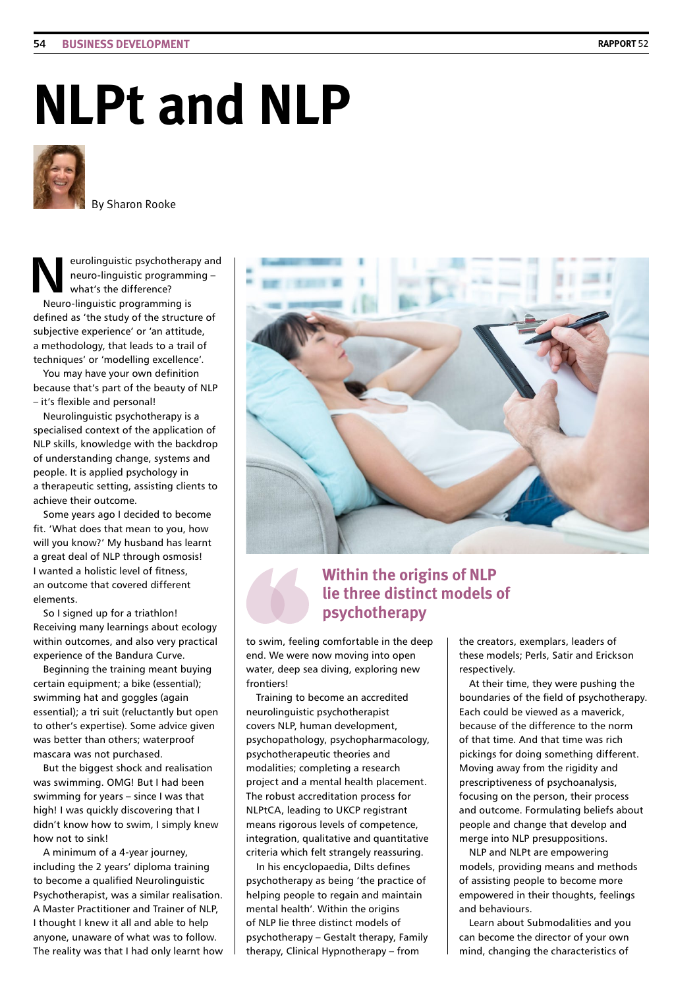## **NLPt and NLP**



By Sharon Rooke

**N**eurolinguistic psychotherapy and neuro-linguistic programming – what's the difference? Neuro-linguistic programming is defined as 'the study of the structure of subjective experience' or 'an attitude, a methodology, that leads to a trail of

techniques' or 'modelling excellence'. You may have your own definition because that's part of the beauty of NLP – it's flexible and personal!

Neurolinguistic psychotherapy is a specialised context of the application of NLP skills, knowledge with the backdrop of understanding change, systems and people. It is applied psychology in a therapeutic setting, assisting clients to achieve their outcome.

Some years ago I decided to become fit. 'What does that mean to you, how will you know?' My husband has learnt a great deal of NLP through osmosis! I wanted a holistic level of fitness, an outcome that covered different elements.

So I signed up for a triathlon! Receiving many learnings about ecology within outcomes, and also very practical experience of the Bandura Curve.

Beginning the training meant buying certain equipment; a bike (essential); swimming hat and goggles (again essential); a tri suit (reluctantly but open to other's expertise). Some advice given was better than others; waterproof mascara was not purchased.

But the biggest shock and realisation was swimming. OMG! But I had been swimming for years – since I was that high! I was quickly discovering that I didn't know how to swim, I simply knew how not to sink!

A minimum of a 4-year journey, including the 2 years' diploma training to become a qualified Neurolinguistic Psychotherapist, was a similar realisation. A Master Practitioner and Trainer of NLP, I thought I knew it all and able to help anyone, unaware of what was to follow. The reality was that I had only learnt how



## **Within the origins of NLP lie three distinct models of psychotherapy**

to swim, feeling comfortable in the deep end. We were now moving into open water, deep sea diving, exploring new **frontiers!** 

Training to become an accredited neurolinguistic psychotherapist covers NLP, human development, psychopathology, psychopharmacology, psychotherapeutic theories and modalities; completing a research project and a mental health placement. The robust accreditation process for NLPtCA, leading to UKCP registrant means rigorous levels of competence, integration, qualitative and quantitative criteria which felt strangely reassuring.

In his encyclopaedia, Dilts defines psychotherapy as being 'the practice of helping people to regain and maintain mental health'. Within the origins of NLP lie three distinct models of psychotherapy – Gestalt therapy, Family therapy, Clinical Hypnotherapy – from

the creators, exemplars, leaders of these models; Perls, Satir and Erickson respectively.

At their time, they were pushing the boundaries of the field of psychotherapy. Each could be viewed as a maverick, because of the difference to the norm of that time. And that time was rich pickings for doing something different. Moving away from the rigidity and prescriptiveness of psychoanalysis, focusing on the person, their process and outcome. Formulating beliefs about people and change that develop and merge into NLP presuppositions.

NLP and NLPt are empowering models, providing means and methods of assisting people to become more empowered in their thoughts, feelings and behaviours.

Learn about Submodalities and you can become the director of your own mind, changing the characteristics of